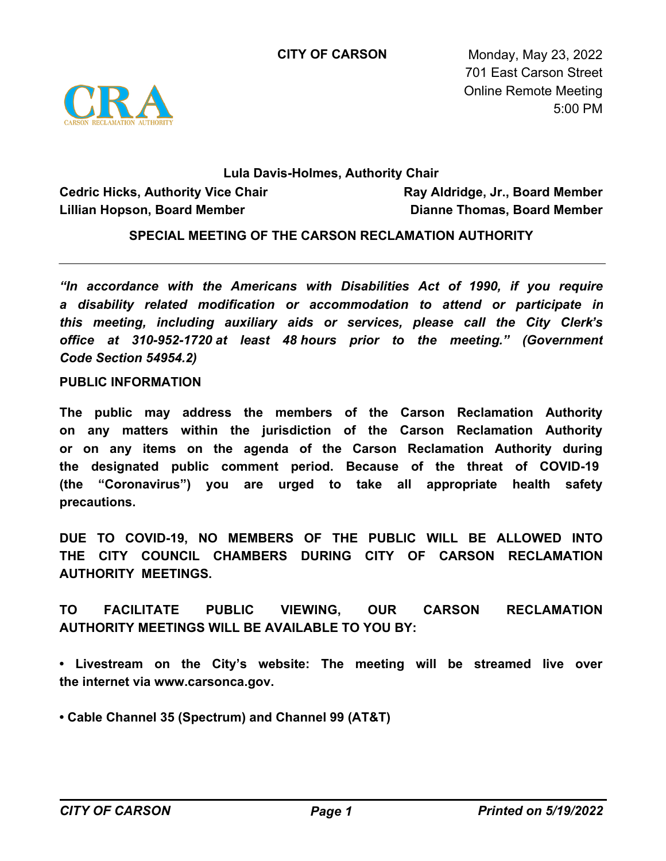

**CITY OF CARSON** Monday, May 23, 2022 701 East Carson Street Online Remote Meeting 5:00 PM

# **Lula Davis-Holmes, Authority Chair**

**Cedric Hicks, Authority Vice Chair Lillian Hopson, Board Member**

**Ray Aldridge, Jr., Board Member Dianne Thomas, Board Member**

**SPECIAL MEETING OF THE CARSON RECLAMATION AUTHORITY**

*"In accordance with the Americans with Disabilities Act of 1990, if you require a disability related modification or accommodation to attend or participate in this meeting, including auxiliary aids or services, please call the City Clerk's office at 310-952-1720 at least 48 hours prior to the meeting." (Government Code Section 54954.2)*

#### **PUBLIC INFORMATION**

**The public may address the members of the Carson Reclamation Authority on any matters within the jurisdiction of the Carson Reclamation Authority or on any items on the agenda of the Carson Reclamation Authority during the designated public comment period. Because of the threat of COVID-19 (the "Coronavirus") you are urged to take all appropriate health safety precautions.**

**DUE TO COVID-19, NO MEMBERS OF THE PUBLIC WILL BE ALLOWED INTO THE CITY COUNCIL CHAMBERS DURING CITY OF CARSON RECLAMATION AUTHORITY MEETINGS.**

**TO FACILITATE PUBLIC VIEWING, OUR CARSON RECLAMATION AUTHORITY MEETINGS WILL BE AVAILABLE TO YOU BY:**

**• Livestream on the City's website: The meeting will be streamed live over the internet via www.carsonca.gov.** 

**• Cable Channel 35 (Spectrum) and Channel 99 (AT&T)**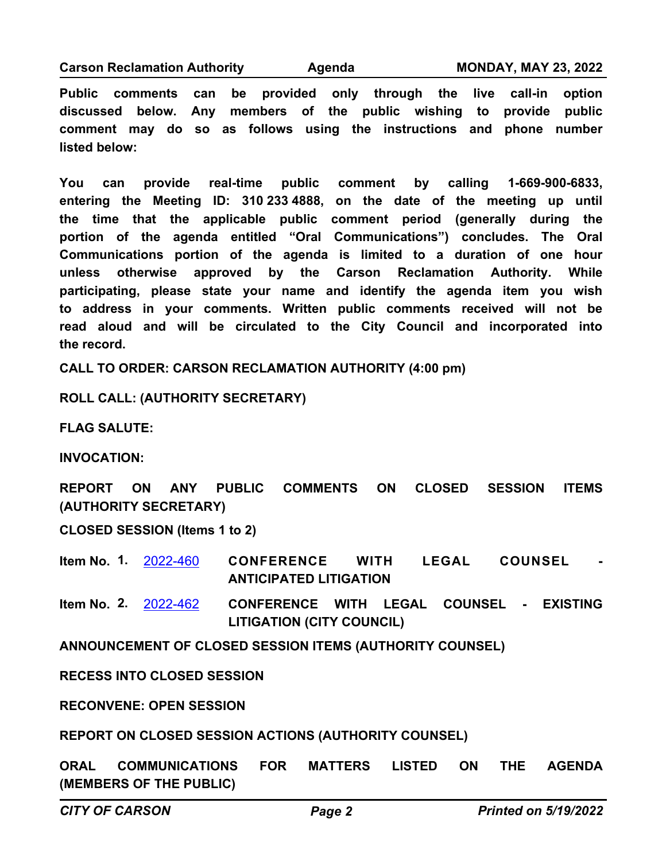**Carson Reclamation Authority Agenda MONDAY, MAY 23, 2022**

**Public comments can be provided only through the live call-in option discussed below. Any members of the public wishing to provide public comment may do so as follows using the instructions and phone number listed below:**

**You can provide real-time public comment by calling 1-669-900-6833, entering the Meeting ID: 310 233 4888, on the date of the meeting up until the time that the applicable public comment period (generally during the portion of the agenda entitled "Oral Communications") concludes. The Oral Communications portion of the agenda is limited to a duration of one hour unless otherwise approved by the Carson Reclamation Authority. While participating, please state your name and identify the agenda item you wish to address in your comments. Written public comments received will not be read aloud and will be circulated to the City Council and incorporated into the record.**

**CALL TO ORDER: CARSON RECLAMATION AUTHORITY (4:00 pm)**

**ROLL CALL: (AUTHORITY SECRETARY)**

**FLAG SALUTE:**

**INVOCATION:**

**REPORT ON ANY PUBLIC COMMENTS ON CLOSED SESSION ITEMS (AUTHORITY SECRETARY)**

**CLOSED SESSION (Items 1 to 2)**

**CONFERENCE WITH LEGAL COUNSEL ANTICIPATED LITIGATION Item No. 1.** [2022-460](http://carson.legistar.com/gateway.aspx?m=l&id=/matter.aspx?key=10391)

**CONFERENCE WITH LEGAL COUNSEL - EXISTING LITIGATION (CITY COUNCIL) Item No. 2.** [2022-462](http://carson.legistar.com/gateway.aspx?m=l&id=/matter.aspx?key=10393)

**ANNOUNCEMENT OF CLOSED SESSION ITEMS (AUTHORITY COUNSEL)**

**RECESS INTO CLOSED SESSION**

**RECONVENE: OPEN SESSION**

**REPORT ON CLOSED SESSION ACTIONS (AUTHORITY COUNSEL)**

**ORAL COMMUNICATIONS FOR MATTERS LISTED ON THE AGENDA (MEMBERS OF THE PUBLIC)**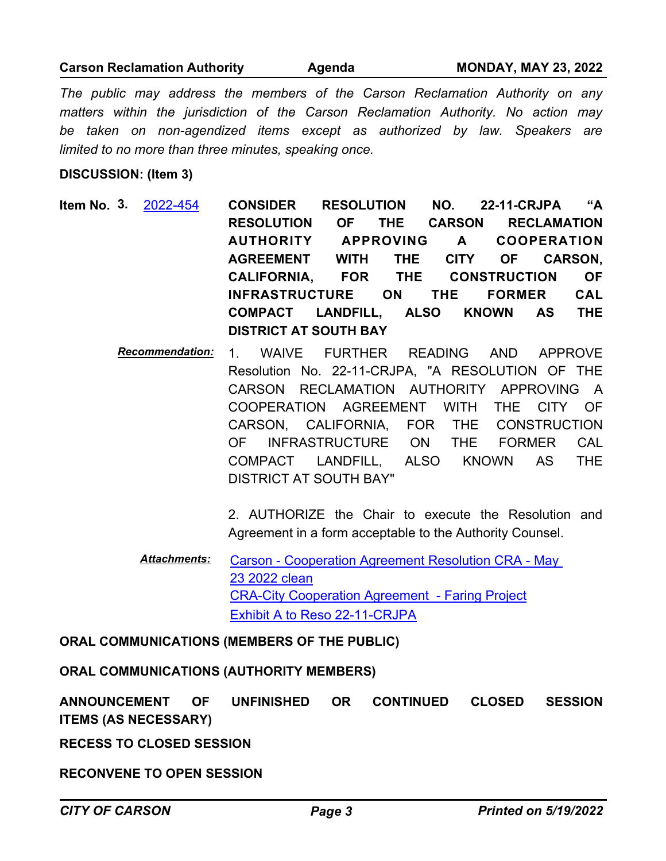### **Carson Reclamation Authority Agenda MONDAY, MAY 23, 2022**

*The public may address the members of the Carson Reclamation Authority on any matters within the jurisdiction of the Carson Reclamation Authority. No action may*  be taken on non-agendized items except as authorized by law. Speakers are *limited to no more than three minutes, speaking once.*

#### **DISCUSSION: (Item 3)**

- **CONSIDER RESOLUTION NO. 22-11-CRJPA "A RESOLUTION OF THE CARSON RECLAMATION AUTHORITY APPROVING A COOPERATION AGREEMENT WITH THE CITY OF CARSON, CALIFORNIA, FOR THE CONSTRUCTION OF INFRASTRUCTURE ON THE FORMER CAL COMPACT LANDFILL, ALSO KNOWN AS THE DISTRICT AT SOUTH BAY Item No. 3.** [2022-454](http://carson.legistar.com/gateway.aspx?m=l&id=/matter.aspx?key=10385)
	- *Recommendation:* 1. WAIVE FURTHER READING AND APPROVE Resolution No. 22-11-CRJPA, "A RESOLUTION OF THE CARSON RECLAMATION AUTHORITY APPROVING A COOPERATION AGREEMENT WITH THE CITY OF CARSON, CALIFORNIA, FOR THE CONSTRUCTION OF INFRASTRUCTURE ON THE FORMER CAL COMPACT LANDFILL, ALSO KNOWN AS THE DISTRICT AT SOUTH BAY"

2. AUTHORIZE the Chair to execute the Resolution and Agreement in a form acceptable to the Authority Counsel.

[Carson - Cooperation Agreement Resolution CRA - May](http://carson.legistar.com/gateway.aspx?M=F&ID=52f7a5ef-3c57-4849-8b01-d8bd07adf9aa.pdf)  23 2022 clean [CRA-City Cooperation Agreement - Faring Project](http://carson.legistar.com/gateway.aspx?M=F&ID=ba3a6ce2-6e1e-45e9-9020-b5dd44ae930e.pdf) [Exhibit A to Reso 22-11-CRJPA](http://carson.legistar.com/gateway.aspx?M=F&ID=3fa68530-2b64-40c1-abe1-326f5db116d7.pdf) *Attachments:*

#### **ORAL COMMUNICATIONS (MEMBERS OF THE PUBLIC)**

**ORAL COMMUNICATIONS (AUTHORITY MEMBERS)**

**ANNOUNCEMENT OF UNFINISHED OR CONTINUED CLOSED SESSION ITEMS (AS NECESSARY)**

**RECESS TO CLOSED SESSION**

**RECONVENE TO OPEN SESSION**